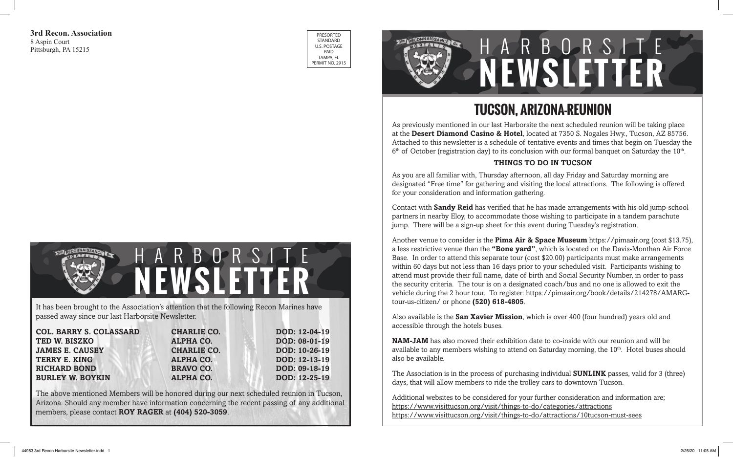#### **3rd Recon. Association** 8 Aspin Court Pittsburgh, PA 15215

PRESORTED STANDARD U.S. POSTAGE PAID TAMPA, FL PERMIT NO. 2915



# **TUCSON, ARIZONA-REUNION**

As previously mentioned in our last Harborsite the next scheduled reunion will be taking place at the **Desert Diamond Casino & Hotel**, located at 7350 S. Nogales Hwy., Tucson, AZ 85756. Attached to this newsletter is a schedule of tentative events and times that begin on Tuesday the  $6<sup>th</sup>$  of October (registration day) to its conclusion with our formal banquet on Saturday the 10<sup>th</sup>.

#### **THINGS TO DO IN TUCSON**

As you are all familiar with, Thursday afternoon, all day Friday and Saturday morning are designated "Free time" for gathering and visiting the local attractions. The following is offered for your consideration and information gathering.

Contact with **Sandy Reid** has verified that he has made arrangements with his old jump-school partners in nearby Eloy, to accommodate those wishing to participate in a tandem parachute jump. There will be a sign-up sheet for this event during Tuesday's registration.

Another venue to consider is the **Pima Air & Space Museum** https://pimaair.org (cost \$13.75), a less restrictive venue than the **"Bone yard"**, which is located on the Davis-Monthan Air Force Base. In order to attend this separate tour (cost \$20.00) participants must make arrangements within 60 days but not less than 16 days prior to your scheduled visit. Participants wishing to attend must provide their full name, date of birth and Social Security Number, in order to pass the security criteria. The tour is on a designated coach/bus and no one is allowed to exit the vehicle during the 2 hour tour. To register: https://pimaair.org/book/details/214278/AMARGtour-us-citizen/ or phone **(520) 618-4805**.

Also available is the **San Xavier Mission**, which is over 400 (four hundred) years old and accessible through the hotels buses.

**NAM-JAM** has also moved their exhibition date to co-inside with our reunion and will be available to any members wishing to attend on Saturday morning, the  $10<sup>th</sup>$ . Hotel buses should also be available.

The Association is in the process of purchasing individual **SUNLINK** passes, valid for 3 (three) days, that will allow members to ride the trolley cars to downtown Tucson.

Additional websites to be considered for your further consideration and information are; <https://www.visittucson.org/visit/things-to-do/categories/attractions> <https://www.visittucson.org/visit/things-to-do/attractions/10tucson-must-sees>

|                                                                                                                                               | 111                                    | <b>SAL</b>                     |
|-----------------------------------------------------------------------------------------------------------------------------------------------|----------------------------------------|--------------------------------|
| It has been brought to the Association's attention that the following Recon Marines have<br>passed away since our last Harborsite Newsletter. |                                        |                                |
| <b>COL. BARRY S. COLASSARD</b><br>TED W. BISZKO                                                                                               | <b>CHARLIE CO.</b><br><b>ALPHA CO.</b> | DOD: 12-04-19<br>DOD: 08-01-19 |
| <b>JAMES E. CAUSEY</b>                                                                                                                        | <b>CHARLIE CO.</b>                     | DOD: 10-26-19                  |

**TERRY E. KING ALPHA CO. DOD: 12-13-19**

**RICHARD BOND BRAVO CO. DOD: 09-18-19 BURLEY W. BOYKIN ALPHA CO. DOD: 12-25-19** The above mentioned Members will be honored during our next scheduled reunion in Tucson,

Arizona. Should any member have information concerning the recent passing of any additional members, please contact **ROY RAGER** at **(404) 520-3059**.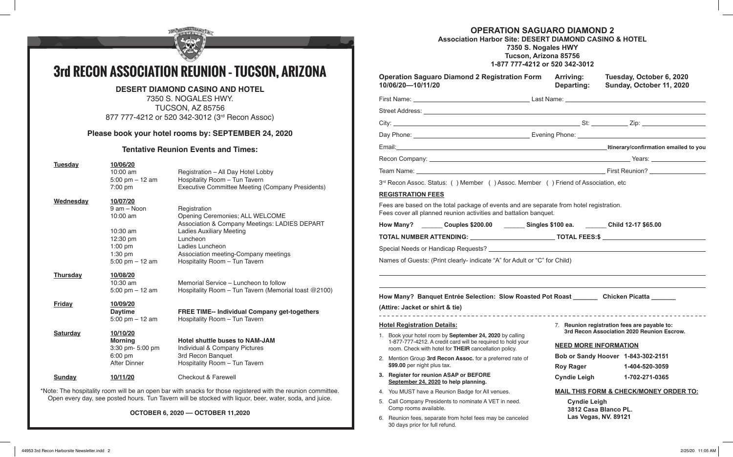

# **3rd RECON ASSOCIATION REUNION – TUCSON, ARIZONA**

### **DESERT DIAMOND CASINO AND HOTEL**

7350 S. NOGALES HWY. TUCSON, AZ 85756 877 777-4212 or 520 342-3012 (3rd Recon Assoc)

### **Please book your hotel rooms by: SEPTEMBER 24, 2020**

#### **Tentative Reunion Events and Times:**

| <b>Tuesday</b>  | 10/06/20<br>$10:00$ am<br>5:00 pm $-12$ am<br>7:00 pm                                                          | Registration - All Day Hotel Lobby<br>Hospitality Room - Tun Tavern<br>Executive Committee Meeting (Company Presidents)                                                                                                                     |
|-----------------|----------------------------------------------------------------------------------------------------------------|---------------------------------------------------------------------------------------------------------------------------------------------------------------------------------------------------------------------------------------------|
| Wednesday       | 10/07/20<br>9 am - Noon<br>$10:00$ am<br>$10:30$ am<br>12:30 pm<br>$1:00$ pm<br>$1:30$ pm<br>5:00 pm $-$ 12 am | Registration<br>Opening Ceremonies; ALL WELCOME<br>Association & Company Meetings: LADIES DEPART<br><b>Ladies Auxiliary Meeting</b><br>Luncheon<br>Ladies Luncheon<br>Association meeting-Company meetings<br>Hospitality Room - Tun Tavern |
| <b>Thursday</b> | 10/08/20<br>10:30 am<br>5:00 pm $-$ 12 am                                                                      | Memorial Service - Luncheon to follow<br>Hospitality Room $-$ Tun Tavern (Memorial toast $@2100$ )                                                                                                                                          |
| <b>Friday</b>   | 10/09/20<br><b>Daytime</b><br>5:00 pm $-$ 12 am                                                                | <b>FREE TIME-- Individual Company get-togethers</b><br>Hospitality Room - Tun Tavern                                                                                                                                                        |
| <b>Saturday</b> | 10/10/20<br><b>Morning</b><br>3:30 pm- 5:00 pm<br>$6:00$ pm<br>After Dinner                                    | <b>Hotel shuttle buses to NAM-JAM</b><br>Individual & Company Pictures<br>3rd Recon Banquet<br>Hospitality Room - Tun Tavern                                                                                                                |
| <b>Sunday</b>   | 10/11/20                                                                                                       | <b>Checkout &amp; Farewell</b>                                                                                                                                                                                                              |

\*Note: The hospitality room will be an open bar with snacks for those registered with the reunion committee. Open every day, see posted hours. Tun Tavern will be stocked with liquor, beer, water, soda, and juice.

#### **OCTOBER 6, 2020 –– OCTOBER 11,2020**